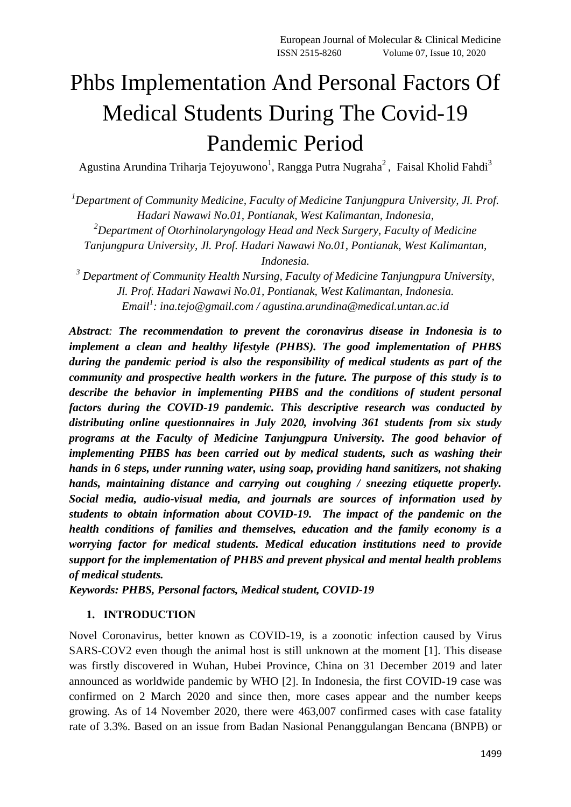# Phbs Implementation And Personal Factors Of Medical Students During The Covid-19 Pandemic Period

Agustina Arundina Triharja Tejoyuwono $^1$ , Rangga Putra Nugraha $^2$ , Faisal Kholid Fahdi $^3$ 

*<sup>1</sup>Department of Community Medicine, Faculty of Medicine Tanjungpura University, Jl. Prof. Hadari Nawawi No.01, Pontianak, West Kalimantan, Indonesia,*

*<sup>2</sup>Department of Otorhinolaryngology Head and Neck Surgery, Faculty of Medicine* 

*Tanjungpura University, Jl. Prof. Hadari Nawawi No.01, Pontianak, West Kalimantan,* 

*Indonesia.*

*<sup>3</sup> Department of Community Health Nursing, Faculty of Medicine Tanjungpura University, Jl. Prof. Hadari Nawawi No.01, Pontianak, West Kalimantan, Indonesia. Email<sup>1</sup> : [ina.tejo@gmail.com](mailto:ina.tejo@gmail.com) / agustina.arundina@medical.untan.ac.id*

*Abstract: The recommendation to prevent the coronavirus disease in Indonesia is to implement a clean and healthy lifestyle (PHBS). The good implementation of PHBS during the pandemic period is also the responsibility of medical students as part of the community and prospective health workers in the future. The purpose of this study is to describe the behavior in implementing PHBS and the conditions of student personal factors during the COVID-19 pandemic. This descriptive research was conducted by distributing online questionnaires in July 2020, involving 361 students from six study programs at the Faculty of Medicine Tanjungpura University. The good behavior of implementing PHBS has been carried out by medical students, such as washing their hands in 6 steps, under running water, using soap, providing hand sanitizers, not shaking hands, maintaining distance and carrying out coughing / sneezing etiquette properly. Social media, audio-visual media, and journals are sources of information used by students to obtain information about COVID-19. The impact of the pandemic on the health conditions of families and themselves, education and the family economy is a worrying factor for medical students. Medical education institutions need to provide support for the implementation of PHBS and prevent physical and mental health problems of medical students.*

*Keywords: PHBS, Personal factors, Medical student, COVID-19*

# **1. INTRODUCTION**

Novel Coronavirus, better known as COVID-19, is a zoonotic infection caused by Virus SARS-COV2 even though the animal host is still unknown at the moment [1]. This disease was firstly discovered in Wuhan, Hubei Province, China on 31 December 2019 and later announced as worldwide pandemic by WHO [2]. In Indonesia, the first COVID-19 case was confirmed on 2 March 2020 and since then, more cases appear and the number keeps growing. As of 14 November 2020, there were 463,007 confirmed cases with case fatality rate of 3.3%. Based on an issue from Badan Nasional Penanggulangan Bencana (BNPB) or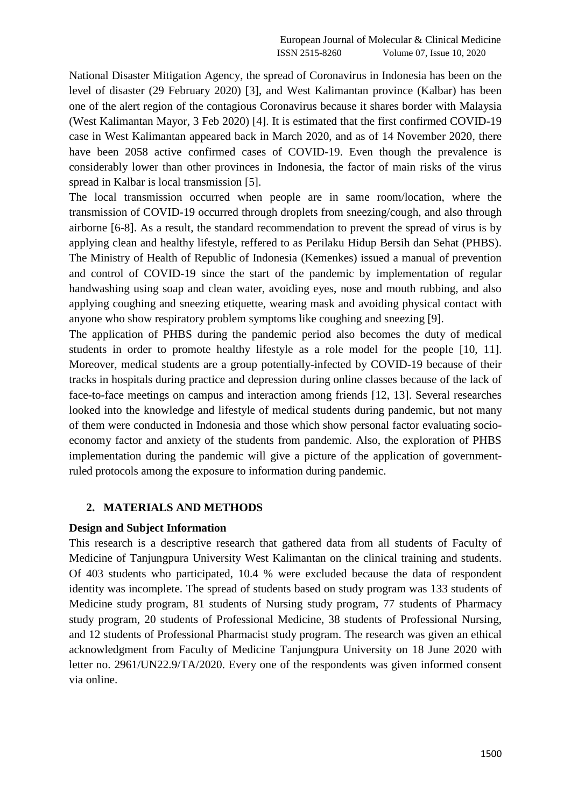National Disaster Mitigation Agency, the spread of Coronavirus in Indonesia has been on the level of disaster (29 February 2020) [3], and West Kalimantan province (Kalbar) has been one of the alert region of the contagious Coronavirus because it shares border with Malaysia (West Kalimantan Mayor, 3 Feb 2020) [4]. It is estimated that the first confirmed COVID-19 case in West Kalimantan appeared back in March 2020, and as of 14 November 2020, there have been 2058 active confirmed cases of COVID-19. Even though the prevalence is considerably lower than other provinces in Indonesia, the factor of main risks of the virus spread in Kalbar is local transmission [5].

The local transmission occurred when people are in same room/location, where the transmission of COVID-19 occurred through droplets from sneezing/cough, and also through airborne [6-8]. As a result, the standard recommendation to prevent the spread of virus is by applying clean and healthy lifestyle, reffered to as Perilaku Hidup Bersih dan Sehat (PHBS). The Ministry of Health of Republic of Indonesia (Kemenkes) issued a manual of prevention and control of COVID-19 since the start of the pandemic by implementation of regular handwashing using soap and clean water, avoiding eyes, nose and mouth rubbing, and also applying coughing and sneezing etiquette, wearing mask and avoiding physical contact with anyone who show respiratory problem symptoms like coughing and sneezing [9].

The application of PHBS during the pandemic period also becomes the duty of medical students in order to promote healthy lifestyle as a role model for the people [10, 11]. Moreover, medical students are a group potentially-infected by COVID-19 because of their tracks in hospitals during practice and depression during online classes because of the lack of face-to-face meetings on campus and interaction among friends [12, 13]. Several researches looked into the knowledge and lifestyle of medical students during pandemic, but not many of them were conducted in Indonesia and those which show personal factor evaluating socioeconomy factor and anxiety of the students from pandemic. Also, the exploration of PHBS implementation during the pandemic will give a picture of the application of governmentruled protocols among the exposure to information during pandemic.

#### **2. MATERIALS AND METHODS**

#### **Design and Subject Information**

This research is a descriptive research that gathered data from all students of Faculty of Medicine of Tanjungpura University West Kalimantan on the clinical training and students. Of 403 students who participated, 10.4 % were excluded because the data of respondent identity was incomplete. The spread of students based on study program was 133 students of Medicine study program, 81 students of Nursing study program, 77 students of Pharmacy study program, 20 students of Professional Medicine, 38 students of Professional Nursing, and 12 students of Professional Pharmacist study program. The research was given an ethical acknowledgment from Faculty of Medicine Tanjungpura University on 18 June 2020 with letter no. 2961/UN22.9/TA/2020. Every one of the respondents was given informed consent via online.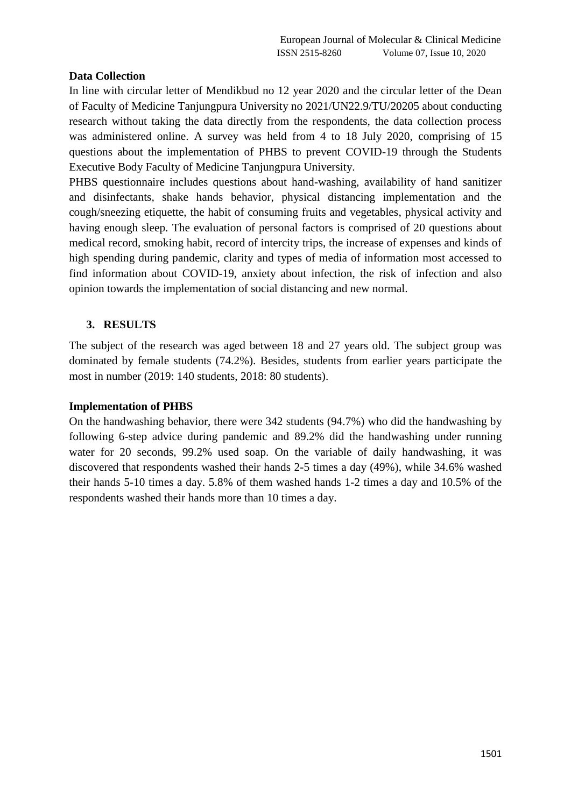#### **Data Collection**

In line with circular letter of Mendikbud no 12 year 2020 and the circular letter of the Dean of Faculty of Medicine Tanjungpura University no 2021/UN22.9/TU/20205 about conducting research without taking the data directly from the respondents, the data collection process was administered online. A survey was held from 4 to 18 July 2020, comprising of 15 questions about the implementation of PHBS to prevent COVID-19 through the Students Executive Body Faculty of Medicine Tanjungpura University.

PHBS questionnaire includes questions about hand-washing, availability of hand sanitizer and disinfectants, shake hands behavior, physical distancing implementation and the cough/sneezing etiquette, the habit of consuming fruits and vegetables, physical activity and having enough sleep. The evaluation of personal factors is comprised of 20 questions about medical record, smoking habit, record of intercity trips, the increase of expenses and kinds of high spending during pandemic, clarity and types of media of information most accessed to find information about COVID-19, anxiety about infection, the risk of infection and also opinion towards the implementation of social distancing and new normal.

## **3. RESULTS**

The subject of the research was aged between 18 and 27 years old. The subject group was dominated by female students (74.2%). Besides, students from earlier years participate the most in number (2019: 140 students, 2018: 80 students).

#### **Implementation of PHBS**

On the handwashing behavior, there were 342 students (94.7%) who did the handwashing by following 6-step advice during pandemic and 89.2% did the handwashing under running water for 20 seconds, 99.2% used soap. On the variable of daily handwashing, it was discovered that respondents washed their hands 2-5 times a day (49%), while 34.6% washed their hands 5-10 times a day. 5.8% of them washed hands 1-2 times a day and 10.5% of the respondents washed their hands more than 10 times a day.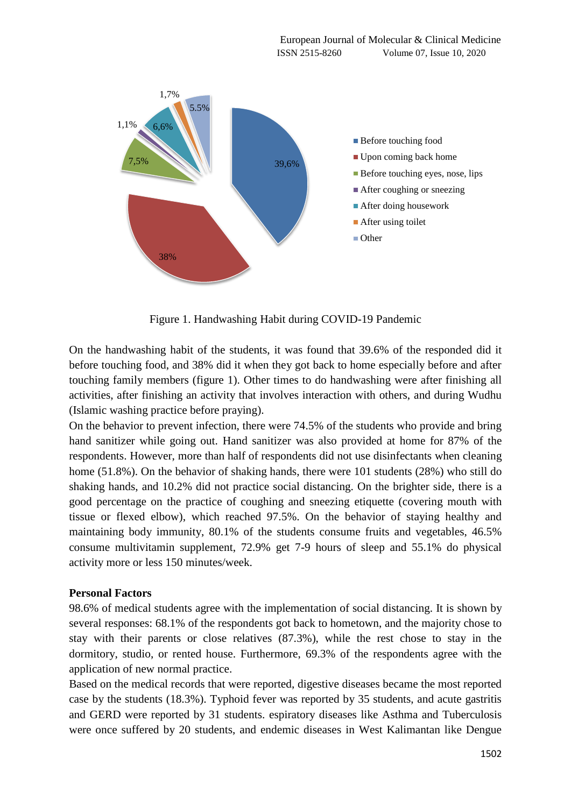

Figure 1. Handwashing Habit during COVID-19 Pandemic

On the handwashing habit of the students, it was found that 39.6% of the responded did it before touching food, and 38% did it when they got back to home especially before and after touching family members (figure 1). Other times to do handwashing were after finishing all activities, after finishing an activity that involves interaction with others, and during Wudhu (Islamic washing practice before praying).

On the behavior to prevent infection, there were 74.5% of the students who provide and bring hand sanitizer while going out. Hand sanitizer was also provided at home for 87% of the respondents. However, more than half of respondents did not use disinfectants when cleaning home (51.8%). On the behavior of shaking hands, there were 101 students (28%) who still do shaking hands, and 10.2% did not practice social distancing. On the brighter side, there is a good percentage on the practice of coughing and sneezing etiquette (covering mouth with tissue or flexed elbow), which reached 97.5%. On the behavior of staying healthy and maintaining body immunity, 80.1% of the students consume fruits and vegetables, 46.5% consume multivitamin supplement, 72.9% get 7-9 hours of sleep and 55.1% do physical activity more or less 150 minutes/week.

## **Personal Factors**

98.6% of medical students agree with the implementation of social distancing. It is shown by several responses: 68.1% of the respondents got back to hometown, and the majority chose to stay with their parents or close relatives (87.3%), while the rest chose to stay in the dormitory, studio, or rented house. Furthermore, 69.3% of the respondents agree with the application of new normal practice.

Based on the medical records that were reported, digestive diseases became the most reported case by the students (18.3%). Typhoid fever was reported by 35 students, and acute gastritis and GERD were reported by 31 students. espiratory diseases like Asthma and Tuberculosis were once suffered by 20 students, and endemic diseases in West Kalimantan like Dengue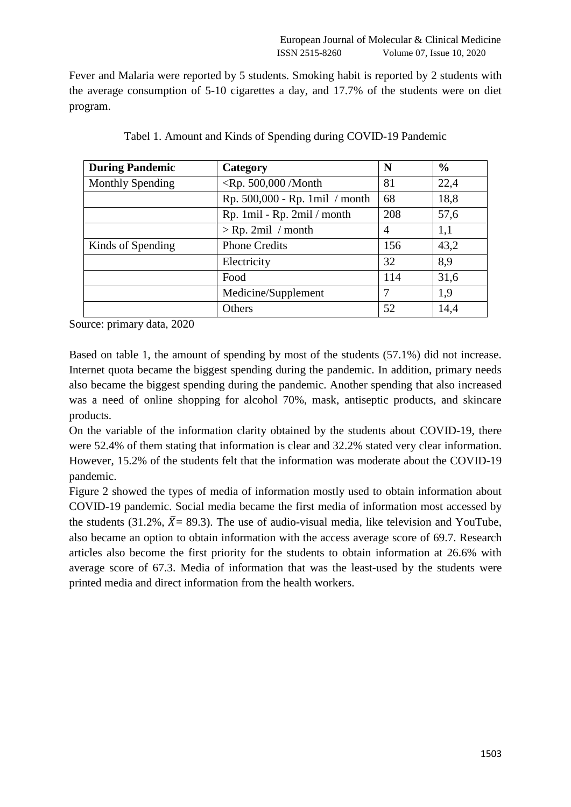Fever and Malaria were reported by 5 students. Smoking habit is reported by 2 students with the average consumption of 5-10 cigarettes a day, and 17.7% of the students were on diet program.

| <b>During Pandemic</b>  | Category                       | N   | $\frac{0}{0}$ |
|-------------------------|--------------------------------|-----|---------------|
| <b>Monthly Spending</b> | $\langle$ Rp. 500,000 /Month   | 81  | 22,4          |
|                         | Rp. 500,000 - Rp. 1mil / month | 68  | 18,8          |
|                         | Rp. 1mil - Rp. 2mil / month    | 208 | 57,6          |
|                         | $>$ Rp. 2mil / month           | 4   | 1,1           |
| Kinds of Spending       | <b>Phone Credits</b>           | 156 | 43,2          |
|                         | Electricity                    | 32  | 8,9           |
|                         | Food                           | 114 | 31,6          |
|                         | Medicine/Supplement            | 7   | 1,9           |
|                         | Others                         | 52  | 14,4          |

| Tabel 1. Amount and Kinds of Spending during COVID-19 Pandemic |  |  |
|----------------------------------------------------------------|--|--|
|                                                                |  |  |

Source: primary data, 2020

Based on table 1, the amount of spending by most of the students (57.1%) did not increase. Internet quota became the biggest spending during the pandemic. In addition, primary needs also became the biggest spending during the pandemic. Another spending that also increased was a need of online shopping for alcohol 70%, mask, antiseptic products, and skincare products.

On the variable of the information clarity obtained by the students about COVID-19, there were 52.4% of them stating that information is clear and 32.2% stated very clear information. However, 15.2% of the students felt that the information was moderate about the COVID-19 pandemic.

Figure 2 showed the types of media of information mostly used to obtain information about COVID-19 pandemic. Social media became the first media of information most accessed by the students (31.2%,  $\bar{X}$  = 89.3). The use of audio-visual media, like television and YouTube, also became an option to obtain information with the access average score of 69.7. Research articles also become the first priority for the students to obtain information at 26.6% with average score of 67.3. Media of information that was the least-used by the students were printed media and direct information from the health workers.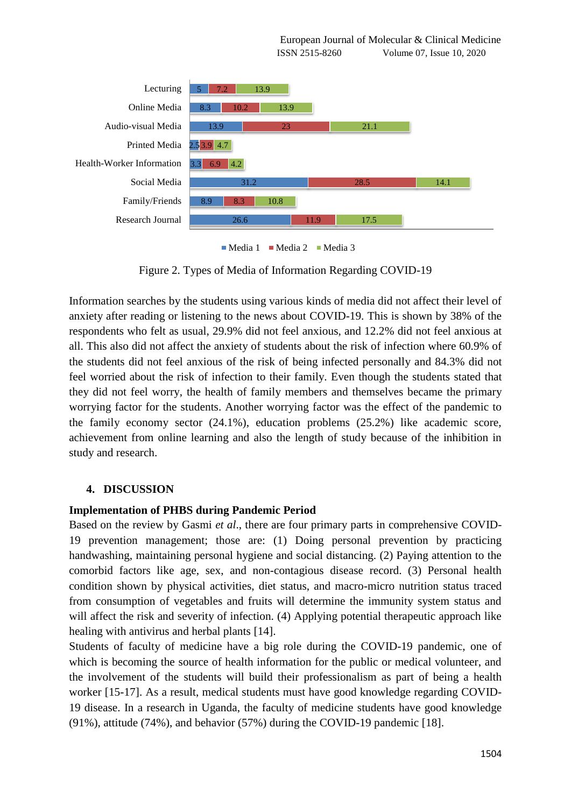

 $\blacksquare$  Media 1  $\blacksquare$  Media 2  $\blacksquare$  Media 3

Figure 2. Types of Media of Information Regarding COVID-19

Information searches by the students using various kinds of media did not affect their level of anxiety after reading or listening to the news about COVID-19. This is shown by 38% of the respondents who felt as usual, 29.9% did not feel anxious, and 12.2% did not feel anxious at all. This also did not affect the anxiety of students about the risk of infection where 60.9% of the students did not feel anxious of the risk of being infected personally and 84.3% did not feel worried about the risk of infection to their family. Even though the students stated that they did not feel worry, the health of family members and themselves became the primary worrying factor for the students. Another worrying factor was the effect of the pandemic to the family economy sector (24.1%), education problems (25.2%) like academic score, achievement from online learning and also the length of study because of the inhibition in study and research.

## **4. DISCUSSION**

## **Implementation of PHBS during Pandemic Period**

Based on the review by Gasmi *et al*., there are four primary parts in comprehensive COVID-19 prevention management; those are: (1) Doing personal prevention by practicing handwashing, maintaining personal hygiene and social distancing. (2) Paying attention to the comorbid factors like age, sex, and non-contagious disease record. (3) Personal health condition shown by physical activities, diet status, and macro-micro nutrition status traced from consumption of vegetables and fruits will determine the immunity system status and will affect the risk and severity of infection. (4) Applying potential therapeutic approach like healing with antivirus and herbal plants [14].

Students of faculty of medicine have a big role during the COVID-19 pandemic, one of which is becoming the source of health information for the public or medical volunteer, and the involvement of the students will build their professionalism as part of being a health worker [15-17]. As a result, medical students must have good knowledge regarding COVID-19 disease. In a research in Uganda, the faculty of medicine students have good knowledge (91%), attitude (74%), and behavior (57%) during the COVID-19 pandemic [18].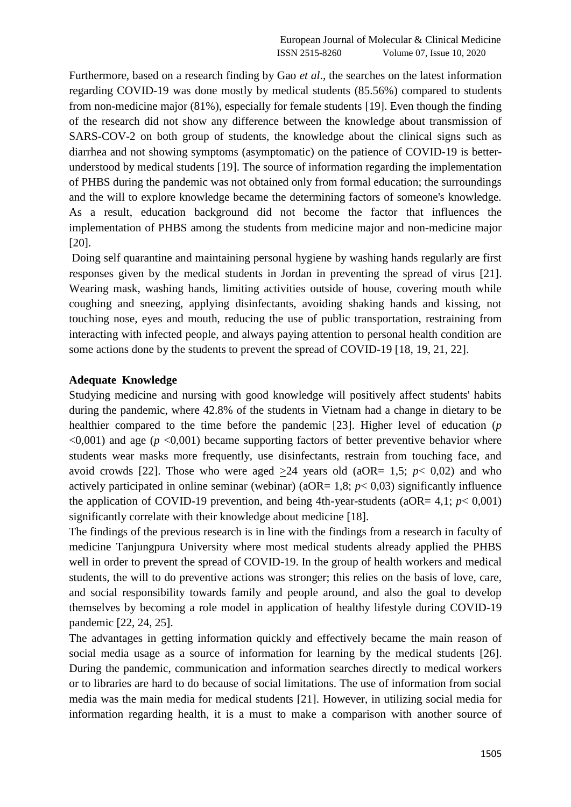Furthermore, based on a research finding by Gao *et al*., the searches on the latest information regarding COVID-19 was done mostly by medical students (85.56%) compared to students from non-medicine major (81%), especially for female students [19]. Even though the finding of the research did not show any difference between the knowledge about transmission of SARS-COV-2 on both group of students, the knowledge about the clinical signs such as diarrhea and not showing symptoms (asymptomatic) on the patience of COVID-19 is betterunderstood by medical students [19]. The source of information regarding the implementation of PHBS during the pandemic was not obtained only from formal education; the surroundings and the will to explore knowledge became the determining factors of someone's knowledge. As a result, education background did not become the factor that influences the implementation of PHBS among the students from medicine major and non-medicine major [20].

Doing self quarantine and maintaining personal hygiene by washing hands regularly are first responses given by the medical students in Jordan in preventing the spread of virus [21]. Wearing mask, washing hands, limiting activities outside of house, covering mouth while coughing and sneezing, applying disinfectants, avoiding shaking hands and kissing, not touching nose, eyes and mouth, reducing the use of public transportation, restraining from interacting with infected people, and always paying attention to personal health condition are some actions done by the students to prevent the spread of COVID-19 [18, 19, 21, 22].

#### **Adequate Knowledge**

Studying medicine and nursing with good knowledge will positively affect students' habits during the pandemic, where 42.8% of the students in Vietnam had a change in dietary to be healthier compared to the time before the pandemic [23]. Higher level of education (*p*   $\leq 0.001$ ) and age ( $p \leq 0.001$ ) became supporting factors of better preventive behavior where students wear masks more frequently, use disinfectants, restrain from touching face, and avoid crowds [22]. Those who were aged  $>24$  years old (aOR= 1,5;  $p < 0.02$ ) and who actively participated in online seminar (webinar) ( $aOR = 1.8$ ;  $p < 0.03$ ) significantly influence the application of COVID-19 prevention, and being 4th-year-students ( $aOR = 4.1$ ;  $p < 0.001$ ) significantly correlate with their knowledge about medicine [18].

The findings of the previous research is in line with the findings from a research in faculty of medicine Tanjungpura University where most medical students already applied the PHBS well in order to prevent the spread of COVID-19. In the group of health workers and medical students, the will to do preventive actions was stronger; this relies on the basis of love, care, and social responsibility towards family and people around, and also the goal to develop themselves by becoming a role model in application of healthy lifestyle during COVID-19 pandemic [22, 24, 25].

The advantages in getting information quickly and effectively became the main reason of social media usage as a source of information for learning by the medical students [26]. During the pandemic, communication and information searches directly to medical workers or to libraries are hard to do because of social limitations. The use of information from social media was the main media for medical students [21]. However, in utilizing social media for information regarding health, it is a must to make a comparison with another source of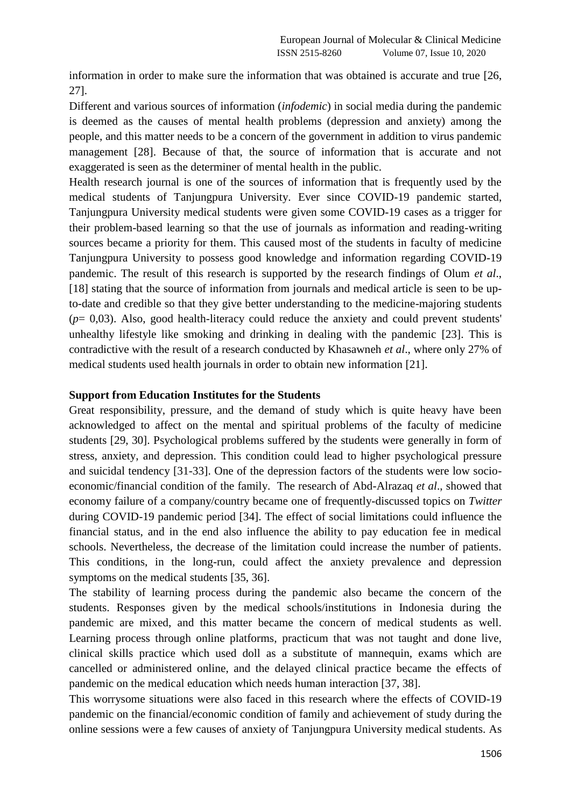information in order to make sure the information that was obtained is accurate and true [26, 27].

Different and various sources of information (*infodemic*) in social media during the pandemic is deemed as the causes of mental health problems (depression and anxiety) among the people, and this matter needs to be a concern of the government in addition to virus pandemic management [28]. Because of that, the source of information that is accurate and not exaggerated is seen as the determiner of mental health in the public.

Health research journal is one of the sources of information that is frequently used by the medical students of Tanjungpura University. Ever since COVID-19 pandemic started, Tanjungpura University medical students were given some COVID-19 cases as a trigger for their problem-based learning so that the use of journals as information and reading-writing sources became a priority for them. This caused most of the students in faculty of medicine Tanjungpura University to possess good knowledge and information regarding COVID-19 pandemic. The result of this research is supported by the research findings of Olum *et al*., [18] stating that the source of information from journals and medical article is seen to be upto-date and credible so that they give better understanding to the medicine-majoring students (*p*= 0,03). Also, good health-literacy could reduce the anxiety and could prevent students' unhealthy lifestyle like smoking and drinking in dealing with the pandemic [23]. This is contradictive with the result of a research conducted by Khasawneh *et al*., where only 27% of medical students used health journals in order to obtain new information [21].

#### **Support from Education Institutes for the Students**

Great responsibility, pressure, and the demand of study which is quite heavy have been acknowledged to affect on the mental and spiritual problems of the faculty of medicine students [29, 30]. Psychological problems suffered by the students were generally in form of stress, anxiety, and depression. This condition could lead to higher psychological pressure and suicidal tendency [31-33]. One of the depression factors of the students were low socioeconomic/financial condition of the family. The research of Abd-Alrazaq *et al*., showed that economy failure of a company/country became one of frequently-discussed topics on *Twitter* during COVID-19 pandemic period [34]. The effect of social limitations could influence the financial status, and in the end also influence the ability to pay education fee in medical schools. Nevertheless, the decrease of the limitation could increase the number of patients. This conditions, in the long-run, could affect the anxiety prevalence and depression symptoms on the medical students [35, 36].

The stability of learning process during the pandemic also became the concern of the students. Responses given by the medical schools/institutions in Indonesia during the pandemic are mixed, and this matter became the concern of medical students as well. Learning process through online platforms, practicum that was not taught and done live, clinical skills practice which used doll as a substitute of mannequin, exams which are cancelled or administered online, and the delayed clinical practice became the effects of pandemic on the medical education which needs human interaction [37, 38].

This worrysome situations were also faced in this research where the effects of COVID-19 pandemic on the financial/economic condition of family and achievement of study during the online sessions were a few causes of anxiety of Tanjungpura University medical students. As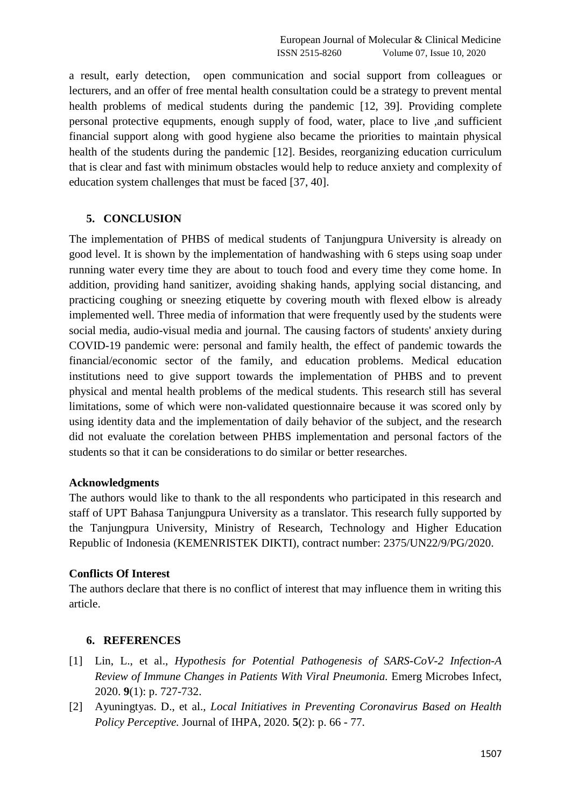a result, early detection, open communication and social support from colleagues or lecturers, and an offer of free mental health consultation could be a strategy to prevent mental health problems of medical students during the pandemic [12, 39]. Providing complete personal protective equpments, enough supply of food, water, place to live ,and sufficient financial support along with good hygiene also became the priorities to maintain physical health of the students during the pandemic [12]. Besides, reorganizing education curriculum that is clear and fast with minimum obstacles would help to reduce anxiety and complexity of education system challenges that must be faced [37, 40].

# **5. CONCLUSION**

The implementation of PHBS of medical students of Tanjungpura University is already on good level. It is shown by the implementation of handwashing with 6 steps using soap under running water every time they are about to touch food and every time they come home. In addition, providing hand sanitizer, avoiding shaking hands, applying social distancing, and practicing coughing or sneezing etiquette by covering mouth with flexed elbow is already implemented well. Three media of information that were frequently used by the students were social media, audio-visual media and journal. The causing factors of students' anxiety during COVID-19 pandemic were: personal and family health, the effect of pandemic towards the financial/economic sector of the family, and education problems. Medical education institutions need to give support towards the implementation of PHBS and to prevent physical and mental health problems of the medical students. This research still has several limitations, some of which were non-validated questionnaire because it was scored only by using identity data and the implementation of daily behavior of the subject, and the research did not evaluate the corelation between PHBS implementation and personal factors of the students so that it can be considerations to do similar or better researches.

## **Acknowledgments**

The authors would like to thank to the all respondents who participated in this research and staff of UPT Bahasa Tanjungpura University as a translator. This research fully supported by the Tanjungpura University, Ministry of Research, Technology and Higher Education Republic of Indonesia (KEMENRISTEK DIKTI), contract number: 2375/UN22/9/PG/2020.

# **Conflicts Of Interest**

The authors declare that there is no conflict of interest that may influence them in writing this article.

# **6. REFERENCES**

- [1] Lin, L., et al., *Hypothesis for Potential Pathogenesis of SARS-CoV-2 Infection-A Review of Immune Changes in Patients With Viral Pneumonia.* Emerg Microbes Infect, 2020. **9**(1): p. 727-732.
- [2] Ayuningtyas. D., et al., *Local Initiatives in Preventing Coronavirus Based on Health Policy Perceptive.* Journal of IHPA, 2020. **5**(2): p. 66 - 77.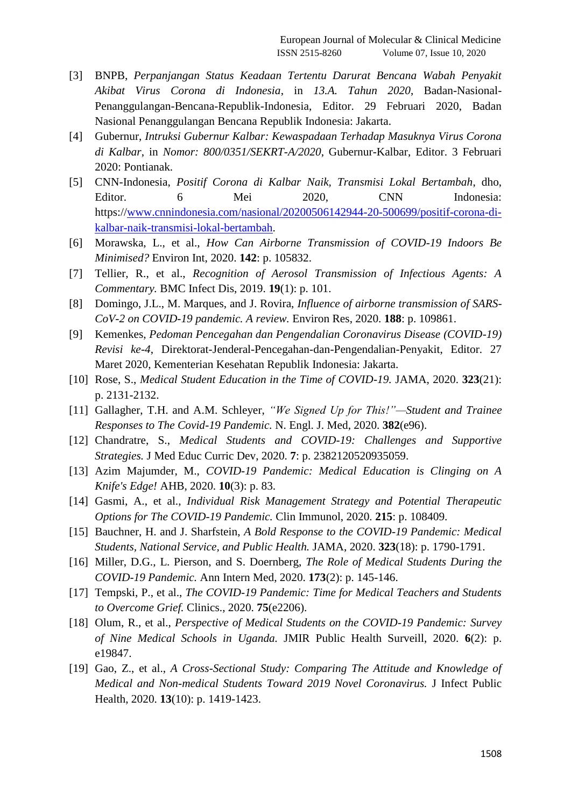- [3] BNPB, *Perpanjangan Status Keadaan Tertentu Darurat Bencana Wabah Penyakit Akibat Virus Corona di Indonesia*, in *13.A. Tahun 2020*, Badan-Nasional-Penanggulangan-Bencana-Republik-Indonesia, Editor. 29 Februari 2020, Badan Nasional Penanggulangan Bencana Republik Indonesia: Jakarta.
- [4] Gubernur, *Intruksi Gubernur Kalbar: Kewaspadaan Terhadap Masuknya Virus Corona di Kalbar*, in *Nomor: 800/0351/SEKRT-A/2020*, Gubernur-Kalbar, Editor. 3 Februari 2020: Pontianak.
- [5] CNN-Indonesia, *Positif Corona di Kalbar Naik, Transmisi Lokal Bertambah*, dho, Editor. 6 Mei 2020, CNN Indonesia: https:/[/www.cnnindonesia.com/nasional/20200506142944-20-500699/positif-corona-di](http://www.cnnindonesia.com/nasional/20200506142944-20-500699/positif-corona-di-kalbar-naik-transmisi-lokal-bertambah)[kalbar-naik-transmisi-lokal-bertambah.](http://www.cnnindonesia.com/nasional/20200506142944-20-500699/positif-corona-di-kalbar-naik-transmisi-lokal-bertambah)
- [6] Morawska, L., et al., *How Can Airborne Transmission of COVID-19 Indoors Be Minimised?* Environ Int, 2020. **142**: p. 105832.
- [7] Tellier, R., et al., *Recognition of Aerosol Transmission of Infectious Agents: A Commentary.* BMC Infect Dis, 2019. **19**(1): p. 101.
- [8] Domingo, J.L., M. Marques, and J. Rovira, *Influence of airborne transmission of SARS-CoV-2 on COVID-19 pandemic. A review.* Environ Res, 2020. **188**: p. 109861.
- [9] Kemenkes, *Pedoman Pencegahan dan Pengendalian Coronavirus Disease (COVID-19) Revisi ke-4*, Direktorat-Jenderal-Pencegahan-dan-Pengendalian-Penyakit, Editor. 27 Maret 2020, Kementerian Kesehatan Republik Indonesia: Jakarta.
- [10] Rose, S., *Medical Student Education in the Time of COVID-19.* JAMA, 2020. **323**(21): p. 2131-2132.
- [11] Gallagher, T.H. and A.M. Schleyer, *"We Signed Up for This!"—Student and Trainee Responses to The Covid-19 Pandemic.* N. Engl. J. Med, 2020. **382**(e96).
- [12] Chandratre, S., *Medical Students and COVID-19: Challenges and Supportive Strategies.* J Med Educ Curric Dev, 2020. **7**: p. 2382120520935059.
- [13] Azim Majumder, M., *COVID-19 Pandemic: Medical Education is Clinging on A Knife's Edge!* AHB, 2020. **10**(3): p. 83.
- [14] Gasmi, A., et al., *Individual Risk Management Strategy and Potential Therapeutic Options for The COVID-19 Pandemic.* Clin Immunol, 2020. **215**: p. 108409.
- [15] Bauchner, H. and J. Sharfstein, *A Bold Response to the COVID-19 Pandemic: Medical Students, National Service, and Public Health.* JAMA, 2020. **323**(18): p. 1790-1791.
- [16] Miller, D.G., L. Pierson, and S. Doernberg, *The Role of Medical Students During the COVID-19 Pandemic.* Ann Intern Med, 2020. **173**(2): p. 145-146.
- [17] Tempski, P., et al., *The COVID-19 Pandemic: Time for Medical Teachers and Students to Overcome Grief.* Clinics., 2020. **75**(e2206).
- [18] Olum, R., et al., *Perspective of Medical Students on the COVID-19 Pandemic: Survey of Nine Medical Schools in Uganda.* JMIR Public Health Surveill, 2020. **6**(2): p. e19847.
- [19] Gao, Z., et al., *A Cross-Sectional Study: Comparing The Attitude and Knowledge of Medical and Non-medical Students Toward 2019 Novel Coronavirus.* J Infect Public Health, 2020. **13**(10): p. 1419-1423.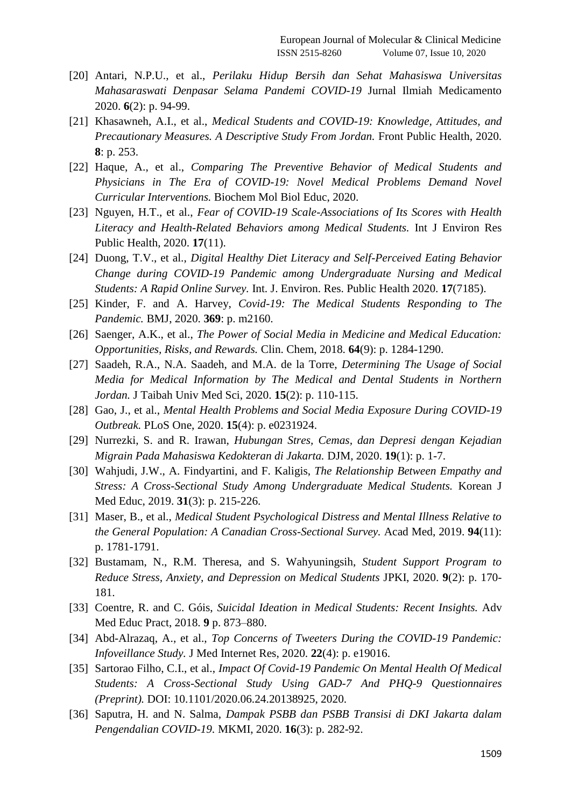- [20] Antari, N.P.U., et al., *Perilaku Hidup Bersih dan Sehat Mahasiswa Universitas Mahasaraswati Denpasar Selama Pandemi COVID-19* Jurnal Ilmiah Medicamento 2020. **6**(2): p. 94-99.
- [21] Khasawneh, A.I., et al., *Medical Students and COVID-19: Knowledge, Attitudes, and Precautionary Measures. A Descriptive Study From Jordan.* Front Public Health, 2020. **8**: p. 253.
- [22] Haque, A., et al., *Comparing The Preventive Behavior of Medical Students and Physicians in The Era of COVID-19: Novel Medical Problems Demand Novel Curricular Interventions.* Biochem Mol Biol Educ, 2020.
- [23] Nguyen, H.T., et al., *Fear of COVID-19 Scale-Associations of Its Scores with Health Literacy and Health-Related Behaviors among Medical Students.* Int J Environ Res Public Health, 2020. **17**(11).
- [24] Duong, T.V., et al., *Digital Healthy Diet Literacy and Self-Perceived Eating Behavior Change during COVID-19 Pandemic among Undergraduate Nursing and Medical Students: A Rapid Online Survey.* Int. J. Environ. Res. Public Health 2020. **17**(7185).
- [25] Kinder, F. and A. Harvey, *Covid-19: The Medical Students Responding to The Pandemic.* BMJ, 2020. **369**: p. m2160.
- [26] Saenger, A.K., et al., *The Power of Social Media in Medicine and Medical Education: Opportunities, Risks, and Rewards.* Clin. Chem, 2018. **64**(9): p. 1284-1290.
- [27] Saadeh, R.A., N.A. Saadeh, and M.A. de la Torre, *Determining The Usage of Social Media for Medical Information by The Medical and Dental Students in Northern Jordan.* J Taibah Univ Med Sci, 2020. **15**(2): p. 110-115.
- [28] Gao, J., et al., *Mental Health Problems and Social Media Exposure During COVID-19 Outbreak.* PLoS One, 2020. **15**(4): p. e0231924.
- [29] Nurrezki, S. and R. Irawan, *Hubungan Stres, Cemas, dan Depresi dengan Kejadian Migrain Pada Mahasiswa Kedokteran di Jakarta.* DJM, 2020. **19**(1): p. 1-7.
- [30] Wahjudi, J.W., A. Findyartini, and F. Kaligis, *The Relationship Between Empathy and Stress: A Cross-Sectional Study Among Undergraduate Medical Students.* Korean J Med Educ, 2019. **31**(3): p. 215-226.
- [31] Maser, B., et al., *Medical Student Psychological Distress and Mental Illness Relative to the General Population: A Canadian Cross-Sectional Survey.* Acad Med, 2019. **94**(11): p. 1781-1791.
- [32] Bustamam, N., R.M. Theresa, and S. Wahyuningsih, *Student Support Program to Reduce Stress, Anxiety, and Depression on Medical Students* JPKI, 2020. **9**(2): p. 170- 181.
- [33] Coentre, R. and C. Góis, *Suicidal Ideation in Medical Students: Recent Insights.* Adv Med Educ Pract, 2018. **9** p. 873–880.
- [34] Abd-Alrazaq, A., et al., *Top Concerns of Tweeters During the COVID-19 Pandemic: Infoveillance Study.* J Med Internet Res, 2020. **22**(4): p. e19016.
- [35] Sartorao Filho, C.I., et al., *Impact Of Covid-19 Pandemic On Mental Health Of Medical Students: A Cross-Sectional Study Using GAD-7 And PHQ-9 Questionnaires (Preprint).* DOI: 10.1101/2020.06.24.20138925, 2020.
- [36] Saputra, H. and N. Salma, *Dampak PSBB dan PSBB Transisi di DKI Jakarta dalam Pengendalian COVID-19.* MKMI, 2020. **16**(3): p. 282-92.